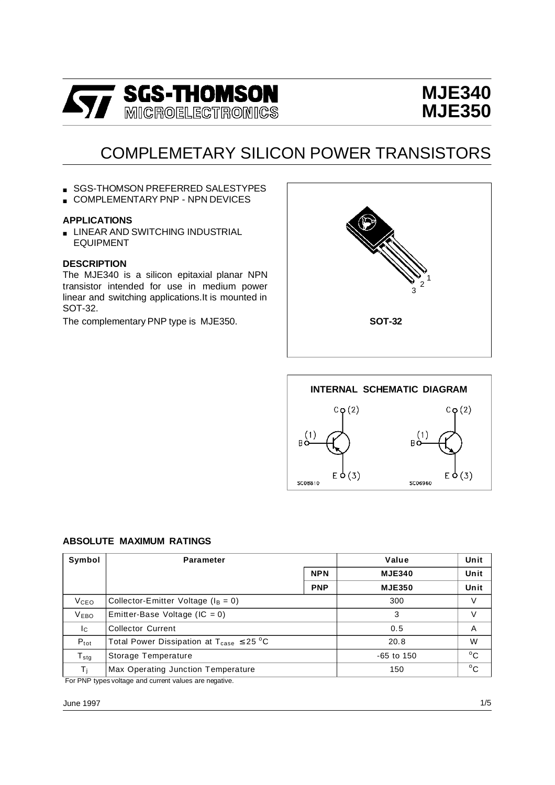

# **MJE340 MJE350**

# COMPLEMETARY SILICON POWER TRANSISTORS

- SGS-THOMSON PREFERRED SALESTYPES
- COMPLEMENTARY PNP NPN DEVICES

#### **APPLICATIONS**

**E** LINEAR AND SWITCHING INDUSTRIAL EQUIPMENT

#### **DESCRIPTION**

The MJE340 is a silicon epitaxial planar NPN transistor intended for use in medium power linear and switching applications.It is mounted in SOT-32.

The complementary PNP type is MJE350.





#### **ABSOLUTE MAXIMUM RATINGS**

| Symbol           | <b>Parameter</b>                                               |            | Value          | Unit         |
|------------------|----------------------------------------------------------------|------------|----------------|--------------|
|                  | <b>NPN</b>                                                     |            | <b>MJE340</b>  | Unit         |
|                  |                                                                | <b>PNP</b> | <b>MJE350</b>  | Unit         |
| V <sub>CEO</sub> | Collector-Emitter Voltage ( $I_B = 0$ )                        |            | 300            | V            |
| <b>VEBO</b>      | Emitter-Base Voltage (IC = $0$ )                               |            | 3              | V            |
| Ic.              | <b>Collector Current</b>                                       |            | 0.5            | A            |
| $P_{\text{tot}}$ | Total Power Dissipation at $T_{\text{case}} \leq 25 \degree C$ |            | 20.8           | W            |
| $T_{\text{stg}}$ | Storage Temperature                                            |            | $-65$ to $150$ | $^{\circ}$ C |
| Τı               | Max Operating Junction Temperature                             |            | 150            | $^{\circ}$ C |
|                  | For PNP types voltage and current values are negative.         |            |                |              |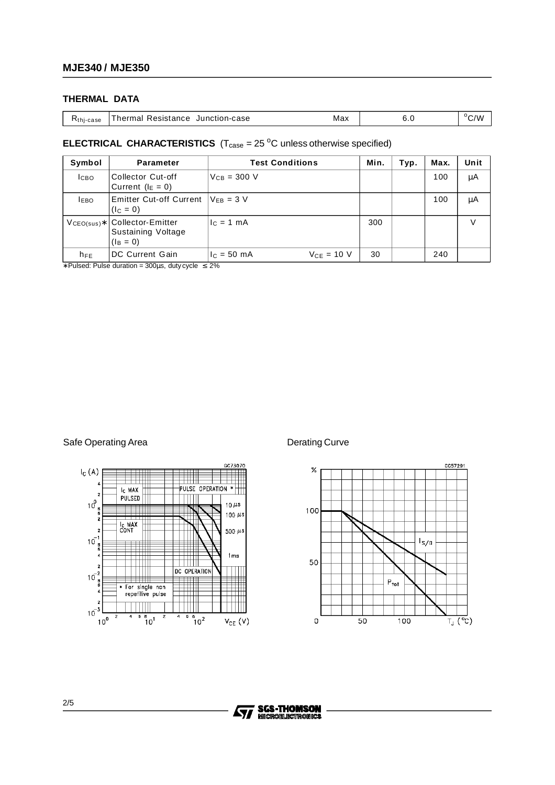#### **THERMAL DATA**

| $Rthi - case$ | Junction-case<br>Resistance<br>hermal | Max | ı<br>◡. | $^{\circ}$ C/W |
|---------------|---------------------------------------|-----|---------|----------------|
|---------------|---------------------------------------|-----|---------|----------------|

### **ELECTRICAL CHARACTERISTICS**  $(T_{\text{case}} = 25 \degree C \text{ unless otherwise specified})$

| Symbol           | <b>Parameter</b>                                       | <b>Test Conditions</b>             | Min. | Typ. | Max. | Unit   |
|------------------|--------------------------------------------------------|------------------------------------|------|------|------|--------|
| I <sub>CBO</sub> | <b>Collector Cut-off</b><br>Current ( $I_E = 0$ )      | $V_{CB} = 300 V$                   |      |      | 100  | μA     |
| <b>IEBO</b>      | Emitter Cut-off Current $V_{FB} = 3 V$<br>$(I_C = 0)$  |                                    |      |      | 100  | μA     |
| $VCEO(sus)*$     | Collector-Emitter<br>Sustaining Voltage<br>$(I_B = 0)$ | $c = 1$ mA                         | 300  |      |      | $\vee$ |
| $h_{FE}$         | DC Current Gain                                        | $I_{C} = 50$ mA<br>$V_{CF} = 10 V$ | 30   |      | 240  |        |

∗ Pulsed: Pulse duration = 300µs, duty cycle ≤ 2%

#### Safe Operating Area **Derating Curve** Derating Curve





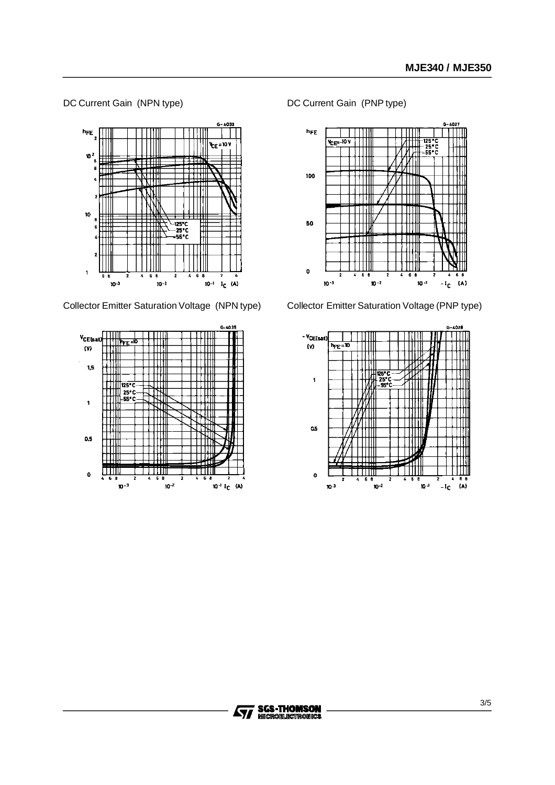#### DC Current Gain (NPN type)



Collector Emitter Saturation Voltage (NPN type)



DC Current Gain (PNP type)



Collector Emitter Saturation Voltage (PNP type)



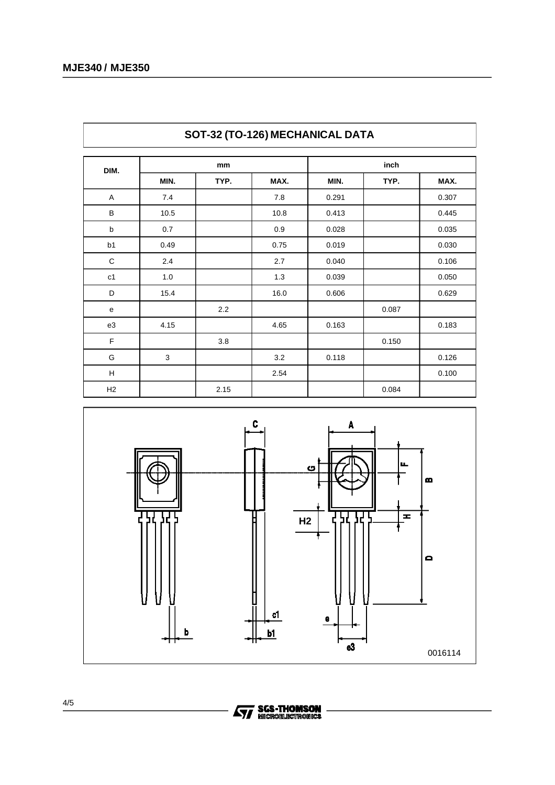| <b>SUI-34 (TU-TZ0) MEGHANIGAL DATA</b> |      |      |       |       |       |       |
|----------------------------------------|------|------|-------|-------|-------|-------|
| DIM.                                   | mm   |      | inch  |       |       |       |
|                                        | MIN. | TYP. | MAX.  | MIN.  | TYP.  | MAX.  |
| A                                      | 7.4  |      | 7.8   | 0.291 |       | 0.307 |
| B                                      | 10.5 |      | 10.8  | 0.413 |       | 0.445 |
| b                                      | 0.7  |      | 0.9   | 0.028 |       | 0.035 |
| b <sub>1</sub>                         | 0.49 |      | 0.75  | 0.019 |       | 0.030 |
| $\mathsf C$                            | 2.4  |      | 2.7   | 0.040 |       | 0.106 |
| c1                                     | 1.0  |      | $1.3$ | 0.039 |       | 0.050 |
| D                                      | 15.4 |      | 16.0  | 0.606 |       | 0.629 |
| e                                      |      | 2.2  |       |       | 0.087 |       |
| e3                                     | 4.15 |      | 4.65  | 0.163 |       | 0.183 |
| F                                      |      | 3.8  |       |       | 0.150 |       |
| G                                      | 3    |      | 3.2   | 0.118 |       | 0.126 |
| н                                      |      |      | 2.54  |       |       | 0.100 |
| H2                                     |      | 2.15 |       |       | 0.084 |       |



## **SOT-32 (TO-126) MECHANICAL DATA**

 $_{\rm e3}$ 

0016114